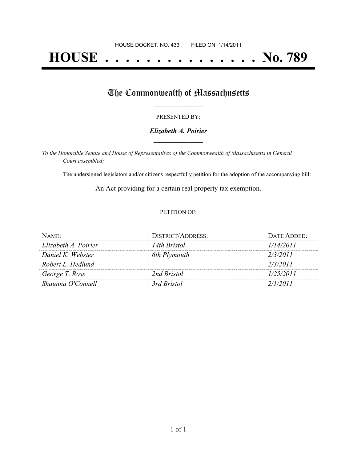# **HOUSE . . . . . . . . . . . . . . . No. 789**

## The Commonwealth of Massachusetts

#### PRESENTED BY:

#### *Elizabeth A. Poirier* **\_\_\_\_\_\_\_\_\_\_\_\_\_\_\_\_\_**

*To the Honorable Senate and House of Representatives of the Commonwealth of Massachusetts in General Court assembled:*

The undersigned legislators and/or citizens respectfully petition for the adoption of the accompanying bill:

An Act providing for a certain real property tax exemption. **\_\_\_\_\_\_\_\_\_\_\_\_\_\_\_**

#### PETITION OF:

| NAME:                | <b>DISTRICT/ADDRESS:</b> | DATE ADDED: |
|----------------------|--------------------------|-------------|
| Elizabeth A. Poirier | 14th Bristol             | 1/14/2011   |
| Daniel K. Webster    | 6th Plymouth             | 2/3/2011    |
| Robert L. Hedlund    |                          | 2/3/2011    |
| George T. Ross       | 2nd Bristol              | 1/25/2011   |
| Shaunna O'Connell    | 3rd Bristol              | 2/1/2011    |